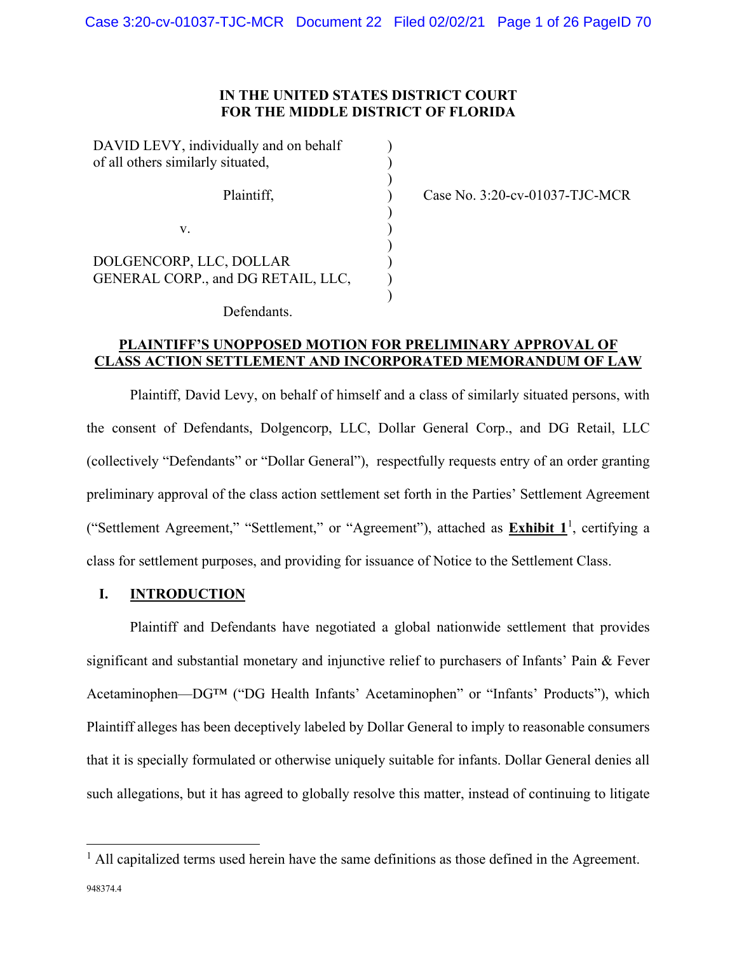## **IN THE UNITED STATES DISTRICT COURT FOR THE MIDDLE DISTRICT OF FLORIDA**

| DAVID LEVY, individually and on behalf<br>of all others similarly situated, |  |
|-----------------------------------------------------------------------------|--|
| Plaintiff,                                                                  |  |
| V.                                                                          |  |
| DOLGENCORP, LLC, DOLLAR<br>GENERAL CORP., and DG RETAIL, LLC,               |  |

Case No. 3:20-cv-01037-TJC-MCR

Defendants.

# **PLAINTIFF'S UNOPPOSED MOTION FOR PRELIMINARY APPROVAL OF CLASS ACTION SETTLEMENT AND INCORPORATED MEMORANDUM OF LAW**

Plaintiff, David Levy, on behalf of himself and a class of similarly situated persons, with the consent of Defendants, Dolgencorp, LLC, Dollar General Corp., and DG Retail, LLC (collectively "Defendants" or "Dollar General"), respectfully requests entry of an order granting preliminary approval of the class action settlement set forth in the Parties' Settlement Agreement ("Settlement Agreement," "Settlement," or "Agreement"), attached as **Exhibit 1**[1](#page-0-0) , certifying a class for settlement purposes, and providing for issuance of Notice to the Settlement Class.

## **I. INTRODUCTION**

Plaintiff and Defendants have negotiated a global nationwide settlement that provides significant and substantial monetary and injunctive relief to purchasers of Infants' Pain & Fever Acetaminophen—DG™ ("DG Health Infants' Acetaminophen" or "Infants' Products"), which Plaintiff alleges has been deceptively labeled by Dollar General to imply to reasonable consumers that it is specially formulated or otherwise uniquely suitable for infants. Dollar General denies all such allegations, but it has agreed to globally resolve this matter, instead of continuing to litigate

<span id="page-0-0"></span> $<sup>1</sup>$  All capitalized terms used herein have the same definitions as those defined in the Agreement.</sup>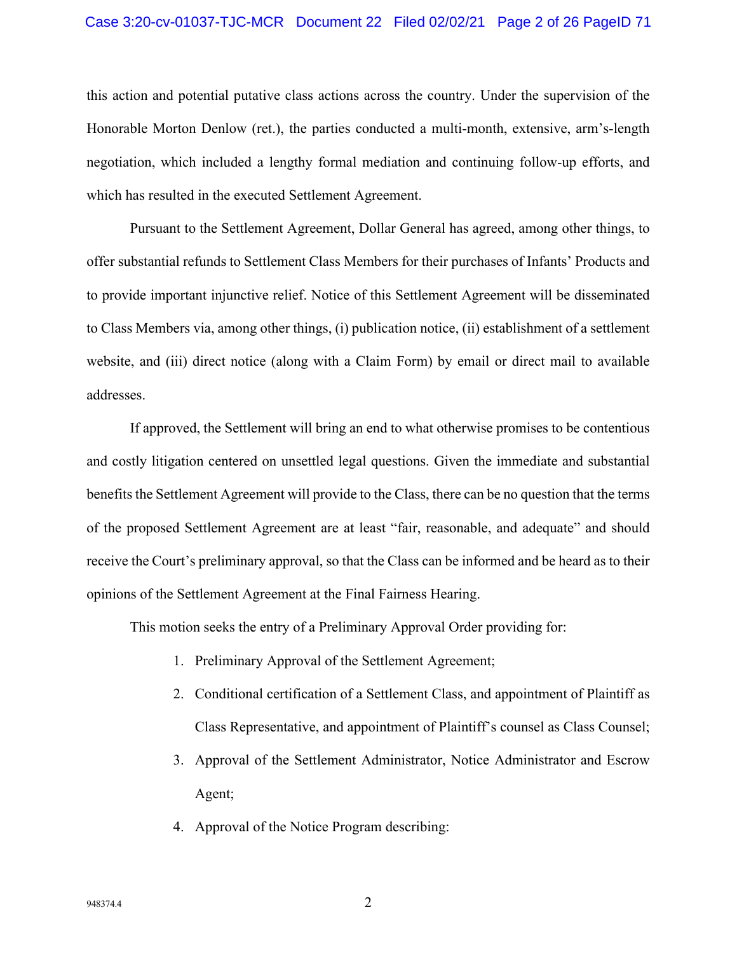#### Case 3:20-cv-01037-TJC-MCR Document 22 Filed 02/02/21 Page 2 of 26 PageID 71

this action and potential putative class actions across the country. Under the supervision of the Honorable Morton Denlow (ret.), the parties conducted a multi-month, extensive, arm's-length negotiation, which included a lengthy formal mediation and continuing follow-up efforts, and which has resulted in the executed Settlement Agreement.

Pursuant to the Settlement Agreement, Dollar General has agreed, among other things, to offer substantial refunds to Settlement Class Members for their purchases of Infants' Products and to provide important injunctive relief. Notice of this Settlement Agreement will be disseminated to Class Members via, among other things, (i) publication notice, (ii) establishment of a settlement website, and (iii) direct notice (along with a Claim Form) by email or direct mail to available addresses.

If approved, the Settlement will bring an end to what otherwise promises to be contentious and costly litigation centered on unsettled legal questions. Given the immediate and substantial benefits the Settlement Agreement will provide to the Class, there can be no question that the terms of the proposed Settlement Agreement are at least "fair, reasonable, and adequate" and should receive the Court's preliminary approval, so that the Class can be informed and be heard as to their opinions of the Settlement Agreement at the Final Fairness Hearing.

This motion seeks the entry of a Preliminary Approval Order providing for:

- 1. Preliminary Approval of the Settlement Agreement;
- 2. Conditional certification of a Settlement Class, and appointment of Plaintiff as Class Representative, and appointment of Plaintiff's counsel as Class Counsel;
- 3. Approval of the Settlement Administrator, Notice Administrator and Escrow Agent;
- 4. Approval of the Notice Program describing: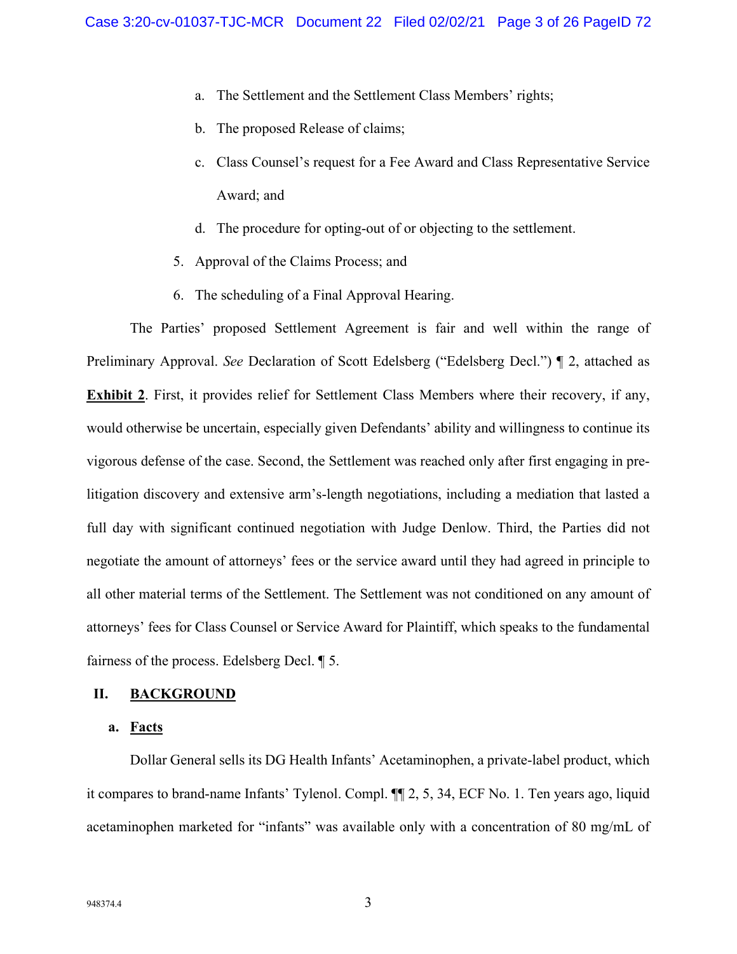- a. The Settlement and the Settlement Class Members' rights;
- b. The proposed Release of claims;
- c. Class Counsel's request for a Fee Award and Class Representative Service Award; and
- d. The procedure for opting-out of or objecting to the settlement.
- 5. Approval of the Claims Process; and
- 6. The scheduling of a Final Approval Hearing.

The Parties' proposed Settlement Agreement is fair and well within the range of Preliminary Approval. *See* Declaration of Scott Edelsberg ("Edelsberg Decl.") ¶ 2, attached as **Exhibit 2**. First, it provides relief for Settlement Class Members where their recovery, if any, would otherwise be uncertain, especially given Defendants' ability and willingness to continue its vigorous defense of the case. Second, the Settlement was reached only after first engaging in prelitigation discovery and extensive arm's-length negotiations, including a mediation that lasted a full day with significant continued negotiation with Judge Denlow. Third, the Parties did not negotiate the amount of attorneys' fees or the service award until they had agreed in principle to all other material terms of the Settlement. The Settlement was not conditioned on any amount of attorneys' fees for Class Counsel or Service Award for Plaintiff, which speaks to the fundamental fairness of the process. Edelsberg Decl. ¶ 5.

## **II. BACKGROUND**

#### **a. Facts**

Dollar General sells its DG Health Infants' Acetaminophen, a private-label product, which it compares to brand-name Infants' Tylenol. Compl. ¶¶ 2, 5, 34, ECF No. 1. Ten years ago, liquid acetaminophen marketed for "infants" was available only with a concentration of 80 mg/mL of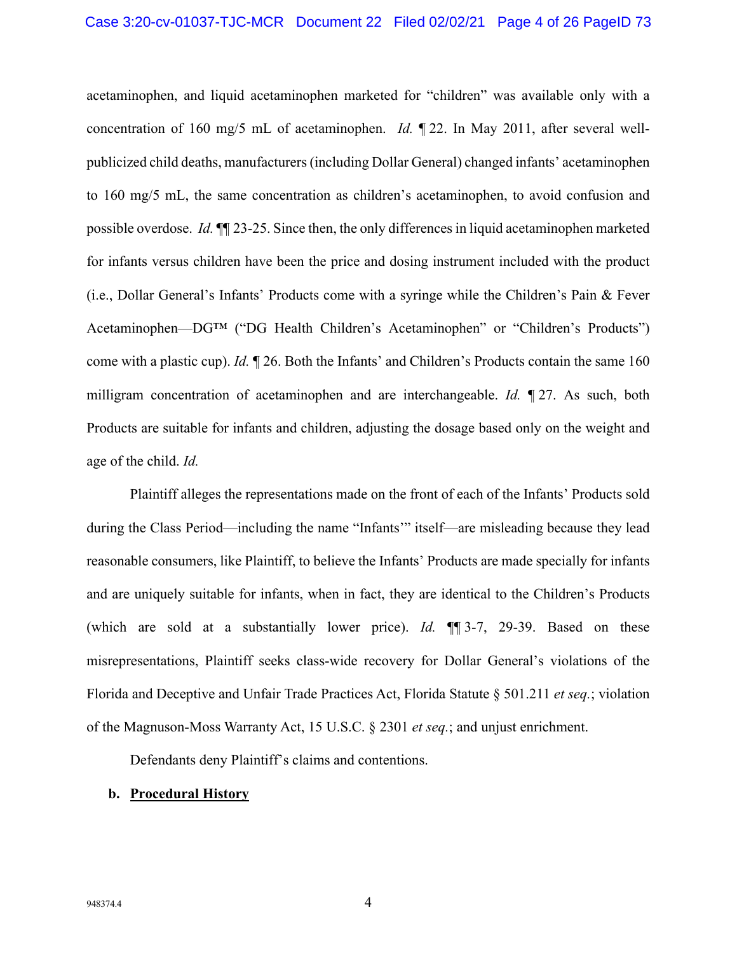acetaminophen, and liquid acetaminophen marketed for "children" was available only with a concentration of 160 mg/5 mL of acetaminophen. *Id.* ¶ 22. In May 2011, after several wellpublicized child deaths, manufacturers (including Dollar General) changed infants' acetaminophen to 160 mg/5 mL, the same concentration as children's acetaminophen, to avoid confusion and possible overdose. *Id.* ¶¶ 23-25. Since then, the only differences in liquid acetaminophen marketed for infants versus children have been the price and dosing instrument included with the product (i.e., Dollar General's Infants' Products come with a syringe while the Children's Pain & Fever Acetaminophen—DG™ ("DG Health Children's Acetaminophen" or "Children's Products") come with a plastic cup). *Id.* ¶ 26. Both the Infants' and Children's Products contain the same 160 milligram concentration of acetaminophen and are interchangeable. *Id.* ¶ 27. As such, both Products are suitable for infants and children, adjusting the dosage based only on the weight and age of the child. *Id.*

Plaintiff alleges the representations made on the front of each of the Infants' Products sold during the Class Period—including the name "Infants'" itself—are misleading because they lead reasonable consumers, like Plaintiff, to believe the Infants' Products are made specially for infants and are uniquely suitable for infants, when in fact, they are identical to the Children's Products (which are sold at a substantially lower price). *Id.* ¶¶ 3-7, 29-39. Based on these misrepresentations, Plaintiff seeks class-wide recovery for Dollar General's violations of the Florida and Deceptive and Unfair Trade Practices Act, Florida Statute § 501.211 *et seq.*; violation of the Magnuson-Moss Warranty Act, 15 U.S.C. § 2301 *et seq.*; and unjust enrichment.

Defendants deny Plaintiff's claims and contentions.

## **b. Procedural History**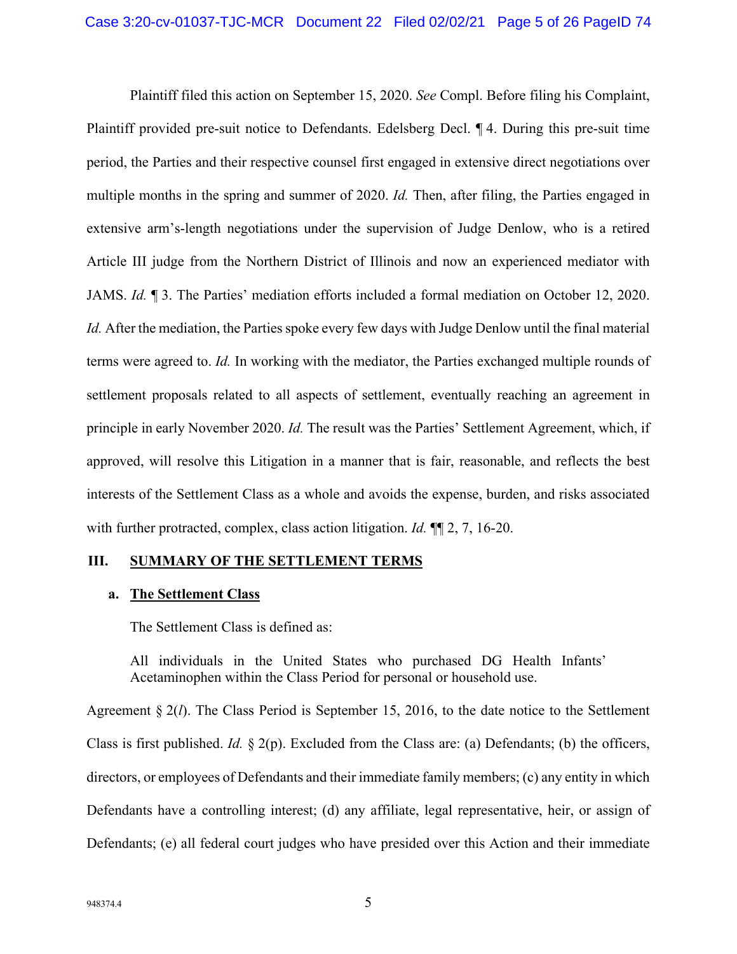Plaintiff filed this action on September 15, 2020. *See* Compl. Before filing his Complaint, Plaintiff provided pre-suit notice to Defendants. Edelsberg Decl. ¶ 4. During this pre-suit time period, the Parties and their respective counsel first engaged in extensive direct negotiations over multiple months in the spring and summer of 2020. *Id.* Then, after filing, the Parties engaged in extensive arm's-length negotiations under the supervision of Judge Denlow, who is a retired Article III judge from the Northern District of Illinois and now an experienced mediator with JAMS. *Id.* ¶ 3. The Parties' mediation efforts included a formal mediation on October 12, 2020. *Id.* After the mediation, the Parties spoke every few days with Judge Denlow until the final material terms were agreed to. *Id.* In working with the mediator, the Parties exchanged multiple rounds of settlement proposals related to all aspects of settlement, eventually reaching an agreement in principle in early November 2020. *Id.* The result was the Parties' Settlement Agreement, which, if approved, will resolve this Litigation in a manner that is fair, reasonable, and reflects the best interests of the Settlement Class as a whole and avoids the expense, burden, and risks associated with further protracted, complex, class action litigation. *Id.* ¶¶ 2, 7, 16-20.

# **III. SUMMARY OF THE SETTLEMENT TERMS**

# **a. The Settlement Class**

The Settlement Class is defined as:

All individuals in the United States who purchased DG Health Infants' Acetaminophen within the Class Period for personal or household use.

Agreement § 2(*l*). The Class Period is September 15, 2016, to the date notice to the Settlement Class is first published. *Id.* § 2(p). Excluded from the Class are: (a) Defendants; (b) the officers, directors, or employees of Defendants and their immediate family members; (c) any entity in which Defendants have a controlling interest; (d) any affiliate, legal representative, heir, or assign of Defendants; (e) all federal court judges who have presided over this Action and their immediate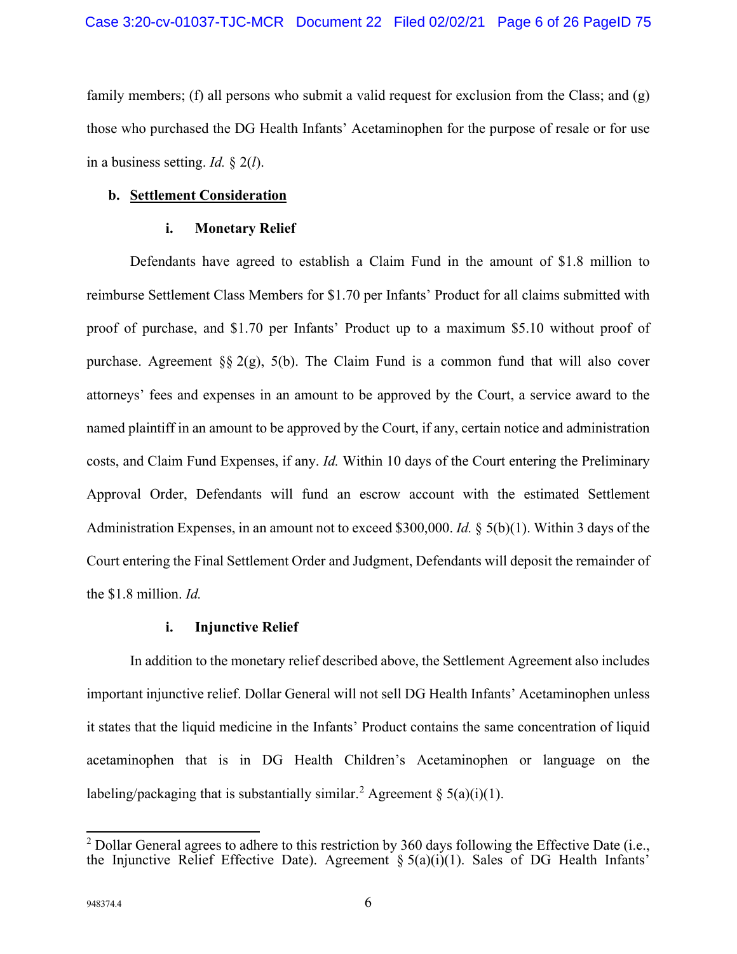family members; (f) all persons who submit a valid request for exclusion from the Class; and  $(g)$ those who purchased the DG Health Infants' Acetaminophen for the purpose of resale or for use in a business setting. *Id.* § 2(*l*).

## **b. Settlement Consideration**

## **i. Monetary Relief**

Defendants have agreed to establish a Claim Fund in the amount of \$1.8 million to reimburse Settlement Class Members for \$1.70 per Infants' Product for all claims submitted with proof of purchase, and \$1.70 per Infants' Product up to a maximum \$5.10 without proof of purchase. Agreement §§ 2(g), 5(b). The Claim Fund is a common fund that will also cover attorneys' fees and expenses in an amount to be approved by the Court, a service award to the named plaintiff in an amount to be approved by the Court, if any, certain notice and administration costs, and Claim Fund Expenses, if any. *Id.* Within 10 days of the Court entering the Preliminary Approval Order, Defendants will fund an escrow account with the estimated Settlement Administration Expenses, in an amount not to exceed \$300,000. *Id.* § 5(b)(1). Within 3 days of the Court entering the Final Settlement Order and Judgment, Defendants will deposit the remainder of the \$1.8 million. *Id.*

# **i. Injunctive Relief**

In addition to the monetary relief described above, the Settlement Agreement also includes important injunctive relief. Dollar General will not sell DG Health Infants' Acetaminophen unless it states that the liquid medicine in the Infants' Product contains the same concentration of liquid acetaminophen that is in DG Health Children's Acetaminophen or language on the labeling/packaging that is substantially similar.<sup>[2](#page-5-0)</sup> Agreement § 5(a)(i)(1).

<span id="page-5-0"></span><sup>&</sup>lt;sup>2</sup> Dollar General agrees to adhere to this restriction by 360 days following the Effective Date (i.e., the Injunctive Relief Effective Date). Agreement  $\S 5(a)(i)(1)$ . Sales of DG Health Infants'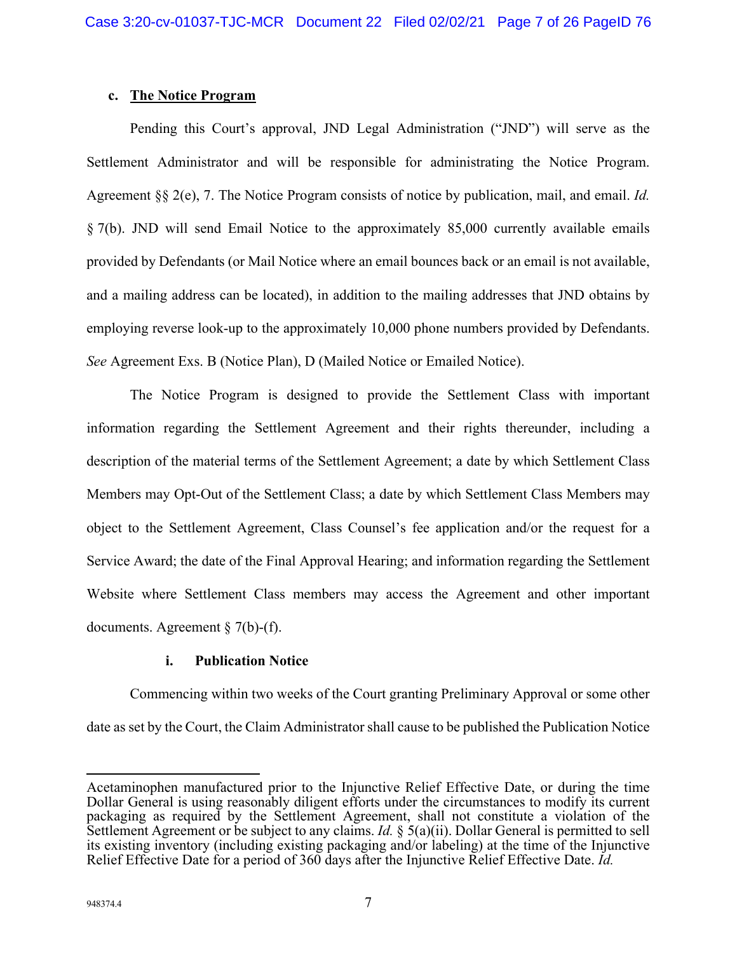## **c. The Notice Program**

Pending this Court's approval, JND Legal Administration ("JND") will serve as the Settlement Administrator and will be responsible for administrating the Notice Program. Agreement §§ 2(e), 7. The Notice Program consists of notice by publication, mail, and email. *Id.* § 7(b). JND will send Email Notice to the approximately 85,000 currently available emails provided by Defendants (or Mail Notice where an email bounces back or an email is not available, and a mailing address can be located), in addition to the mailing addresses that JND obtains by employing reverse look-up to the approximately 10,000 phone numbers provided by Defendants. *See* Agreement Exs. B (Notice Plan), D (Mailed Notice or Emailed Notice).

The Notice Program is designed to provide the Settlement Class with important information regarding the Settlement Agreement and their rights thereunder, including a description of the material terms of the Settlement Agreement; a date by which Settlement Class Members may Opt-Out of the Settlement Class; a date by which Settlement Class Members may object to the Settlement Agreement, Class Counsel's fee application and/or the request for a Service Award; the date of the Final Approval Hearing; and information regarding the Settlement Website where Settlement Class members may access the Agreement and other important documents. Agreement § 7(b)-(f).

### **i. Publication Notice**

Commencing within two weeks of the Court granting Preliminary Approval or some other date as set by the Court, the Claim Administrator shall cause to be published the Publication Notice

Acetaminophen manufactured prior to the Injunctive Relief Effective Date, or during the time Dollar General is using reasonably diligent efforts under the circumstances to modify its current packaging as required by the Settlement Agreement, shall not constitute a violation of the Settlement Agreement or be subject to any claims. *Id.* § 5(a)(ii). Dollar General is permitted to sell its existing inventory (including existing packaging and/or labeling) at the time of the Injunctive Relief Effective Date for a period of 360 days after the Injunctive Relief Effective Date. *Id.*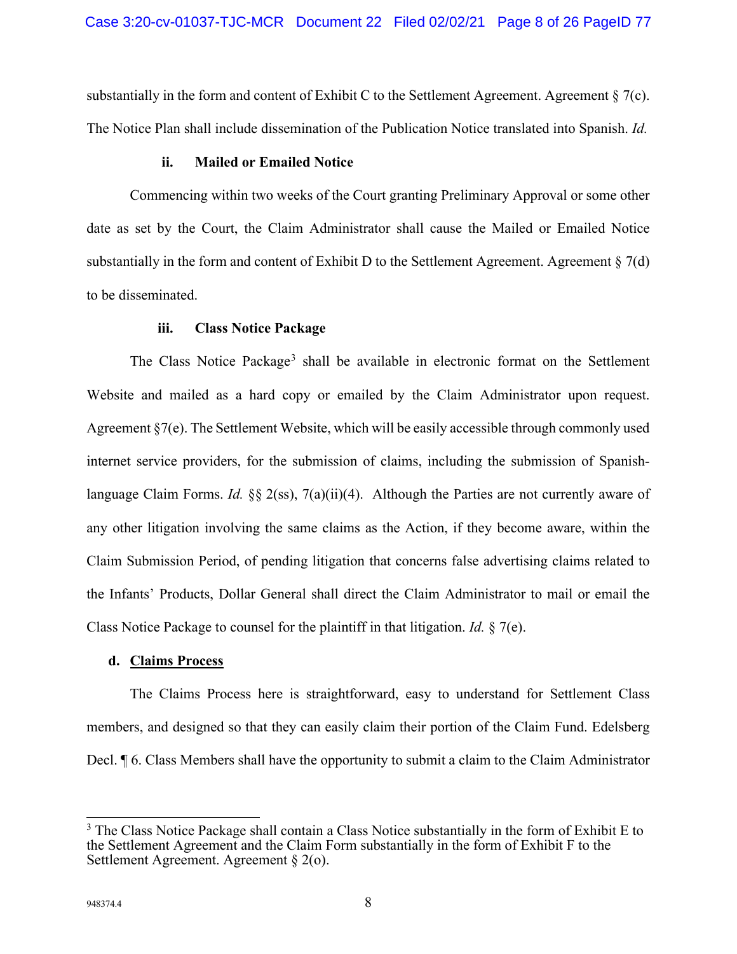substantially in the form and content of Exhibit C to the Settlement Agreement. Agreement  $\S 7(c)$ . The Notice Plan shall include dissemination of the Publication Notice translated into Spanish. *Id.*

## **ii. Mailed or Emailed Notice**

Commencing within two weeks of the Court granting Preliminary Approval or some other date as set by the Court, the Claim Administrator shall cause the Mailed or Emailed Notice substantially in the form and content of Exhibit D to the Settlement Agreement. Agreement  $\S 7(d)$ to be disseminated.

# **iii. Class Notice Package**

The Class Notice Package<sup>[3](#page-7-0)</sup> shall be available in electronic format on the Settlement Website and mailed as a hard copy or emailed by the Claim Administrator upon request. Agreement §7(e). The Settlement Website, which will be easily accessible through commonly used internet service providers, for the submission of claims, including the submission of Spanishlanguage Claim Forms. *Id.* §§ 2(ss), 7(a)(ii)(4). Although the Parties are not currently aware of any other litigation involving the same claims as the Action, if they become aware, within the Claim Submission Period, of pending litigation that concerns false advertising claims related to the Infants' Products, Dollar General shall direct the Claim Administrator to mail or email the Class Notice Package to counsel for the plaintiff in that litigation. *Id.* § 7(e).

### **d. Claims Process**

The Claims Process here is straightforward, easy to understand for Settlement Class members, and designed so that they can easily claim their portion of the Claim Fund. Edelsberg Decl. ¶ 6. Class Members shall have the opportunity to submit a claim to the Claim Administrator

<span id="page-7-0"></span><sup>&</sup>lt;sup>3</sup> The Class Notice Package shall contain a Class Notice substantially in the form of Exhibit E to the Settlement Agreement and the Claim Form substantially in the form of Exhibit F to the Settlement Agreement. Agreement § 2(o).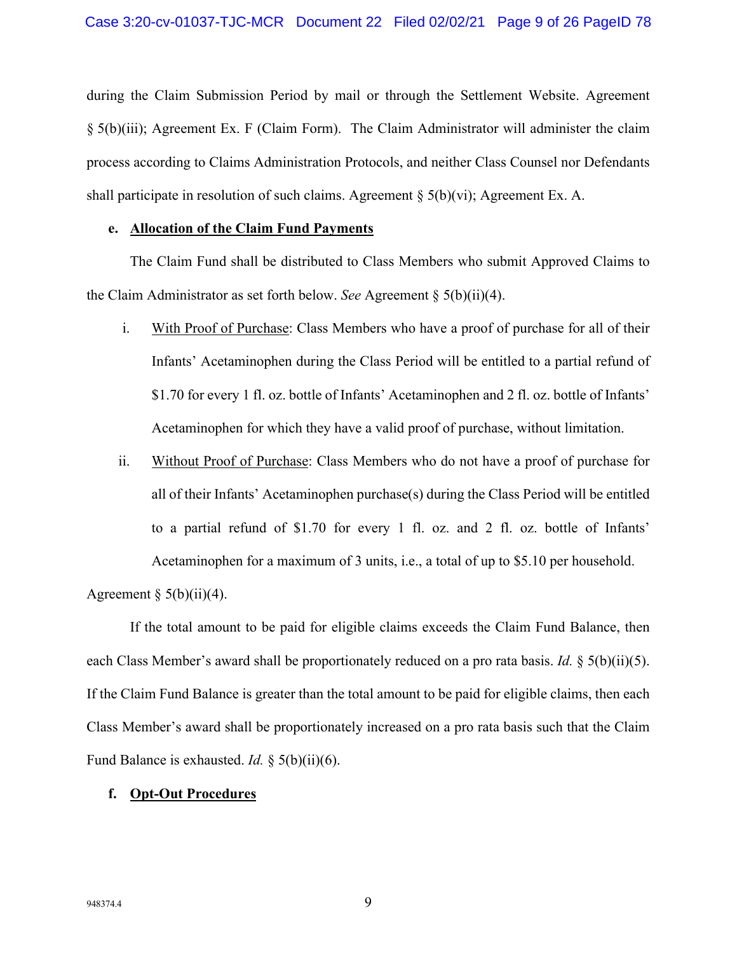during the Claim Submission Period by mail or through the Settlement Website. Agreement § 5(b)(iii); Agreement Ex. F (Claim Form). The Claim Administrator will administer the claim process according to Claims Administration Protocols, and neither Class Counsel nor Defendants shall participate in resolution of such claims. Agreement  $\S$  5(b)(vi); Agreement Ex. A.

#### **e. Allocation of the Claim Fund Payments**

The Claim Fund shall be distributed to Class Members who submit Approved Claims to the Claim Administrator as set forth below. *See* Agreement § 5(b)(ii)(4).

- i. With Proof of Purchase: Class Members who have a proof of purchase for all of their Infants' Acetaminophen during the Class Period will be entitled to a partial refund of \$1.70 for every 1 fl. oz. bottle of Infants' Acetaminophen and 2 fl. oz. bottle of Infants' Acetaminophen for which they have a valid proof of purchase, without limitation.
- ii. Without Proof of Purchase: Class Members who do not have a proof of purchase for all of their Infants' Acetaminophen purchase(s) during the Class Period will be entitled to a partial refund of \$1.70 for every 1 fl. oz. and 2 fl. oz. bottle of Infants' Acetaminophen for a maximum of 3 units, i.e., a total of up to \$5.10 per household.

Agreement  $\S$  5(b)(ii)(4).

If the total amount to be paid for eligible claims exceeds the Claim Fund Balance, then each Class Member's award shall be proportionately reduced on a pro rata basis. *Id.* § 5(b)(ii)(5). If the Claim Fund Balance is greater than the total amount to be paid for eligible claims, then each Class Member's award shall be proportionately increased on a pro rata basis such that the Claim Fund Balance is exhausted. *Id.* § 5(b)(ii)(6).

### **f. Opt-Out Procedures**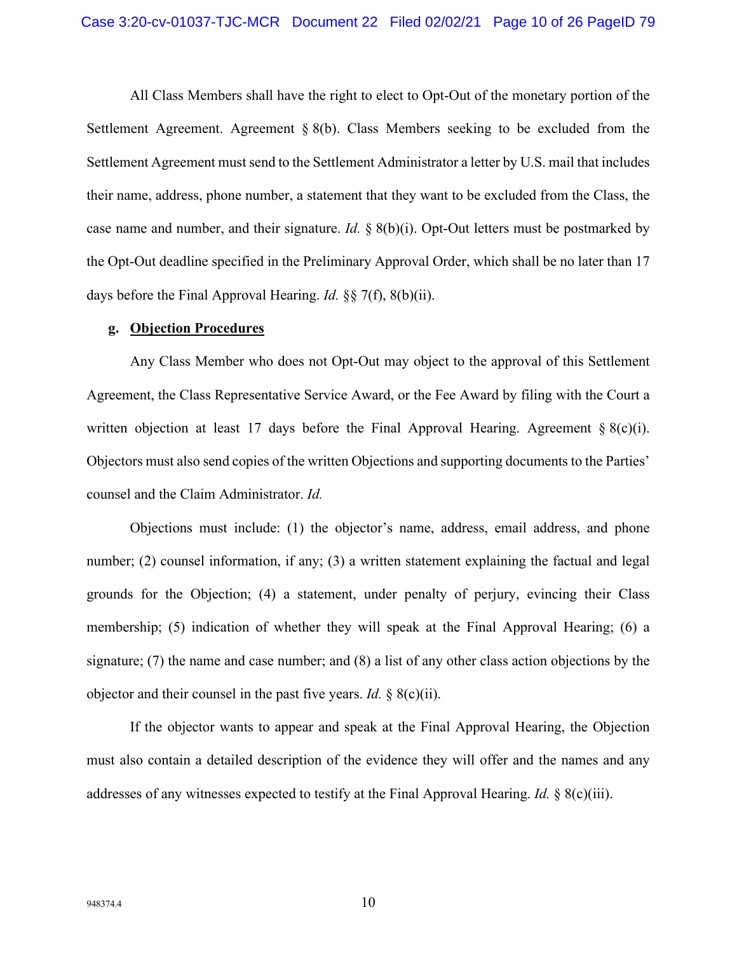All Class Members shall have the right to elect to Opt-Out of the monetary portion of the Settlement Agreement. Agreement § 8(b). Class Members seeking to be excluded from the Settlement Agreement must send to the Settlement Administrator a letter by U.S. mail that includes their name, address, phone number, a statement that they want to be excluded from the Class, the case name and number, and their signature. *Id.* § 8(b)(i). Opt-Out letters must be postmarked by the Opt-Out deadline specified in the Preliminary Approval Order, which shall be no later than 17 days before the Final Approval Hearing. *Id.* §§ 7(f), 8(b)(ii).

#### **g. Objection Procedures**

Any Class Member who does not Opt-Out may object to the approval of this Settlement Agreement, the Class Representative Service Award, or the Fee Award by filing with the Court a written objection at least 17 days before the Final Approval Hearing. Agreement  $\S(0)(i)$ . Objectors must also send copies of the written Objections and supporting documents to the Parties' counsel and the Claim Administrator. *Id.*

Objections must include: (1) the objector's name, address, email address, and phone number; (2) counsel information, if any; (3) a written statement explaining the factual and legal grounds for the Objection; (4) a statement, under penalty of perjury, evincing their Class membership; (5) indication of whether they will speak at the Final Approval Hearing; (6) a signature; (7) the name and case number; and (8) a list of any other class action objections by the objector and their counsel in the past five years. *Id.* § 8(c)(ii).

If the objector wants to appear and speak at the Final Approval Hearing, the Objection must also contain a detailed description of the evidence they will offer and the names and any addresses of any witnesses expected to testify at the Final Approval Hearing. *Id.* § 8(c)(iii).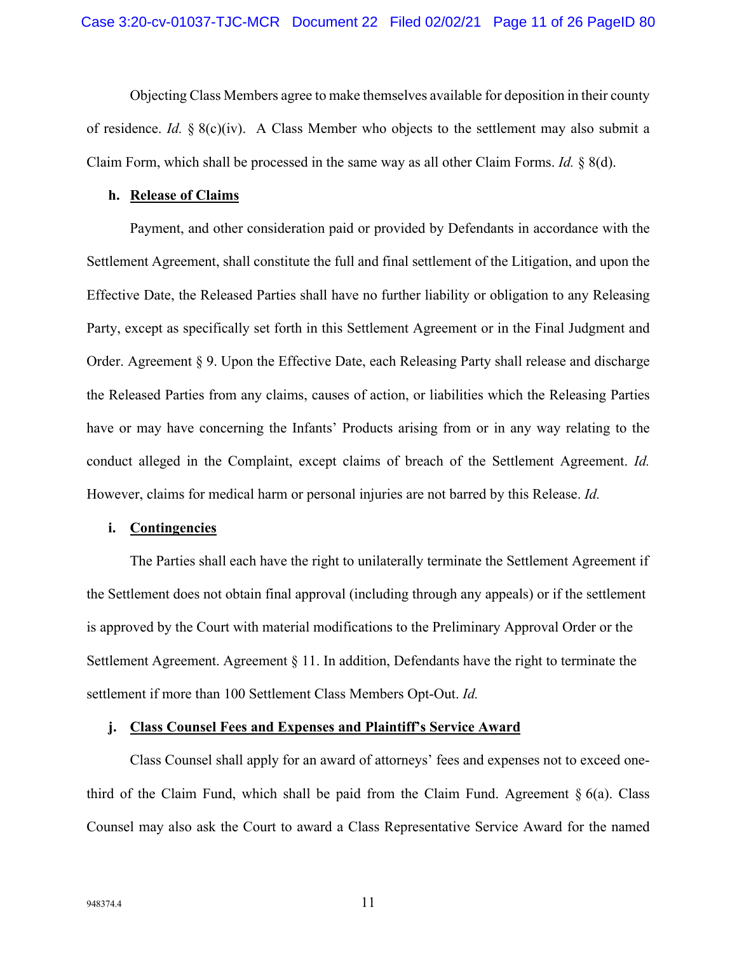Objecting Class Members agree to make themselves available for deposition in their county of residence. *Id.* § 8(c)(iv). A Class Member who objects to the settlement may also submit a Claim Form, which shall be processed in the same way as all other Claim Forms. *Id.* § 8(d).

#### **h. Release of Claims**

Payment, and other consideration paid or provided by Defendants in accordance with the Settlement Agreement, shall constitute the full and final settlement of the Litigation, and upon the Effective Date, the Released Parties shall have no further liability or obligation to any Releasing Party, except as specifically set forth in this Settlement Agreement or in the Final Judgment and Order. Agreement § 9. Upon the Effective Date, each Releasing Party shall release and discharge the Released Parties from any claims, causes of action, or liabilities which the Releasing Parties have or may have concerning the Infants' Products arising from or in any way relating to the conduct alleged in the Complaint, except claims of breach of the Settlement Agreement. *Id.* However, claims for medical harm or personal injuries are not barred by this Release. *Id.*

#### **i. Contingencies**

The Parties shall each have the right to unilaterally terminate the Settlement Agreement if the Settlement does not obtain final approval (including through any appeals) or if the settlement is approved by the Court with material modifications to the Preliminary Approval Order or the Settlement Agreement. Agreement § 11. In addition, Defendants have the right to terminate the settlement if more than 100 Settlement Class Members Opt-Out. *Id.*

#### **j. Class Counsel Fees and Expenses and Plaintiff's Service Award**

Class Counsel shall apply for an award of attorneys' fees and expenses not to exceed onethird of the Claim Fund, which shall be paid from the Claim Fund. Agreement  $\S$  6(a). Class Counsel may also ask the Court to award a Class Representative Service Award for the named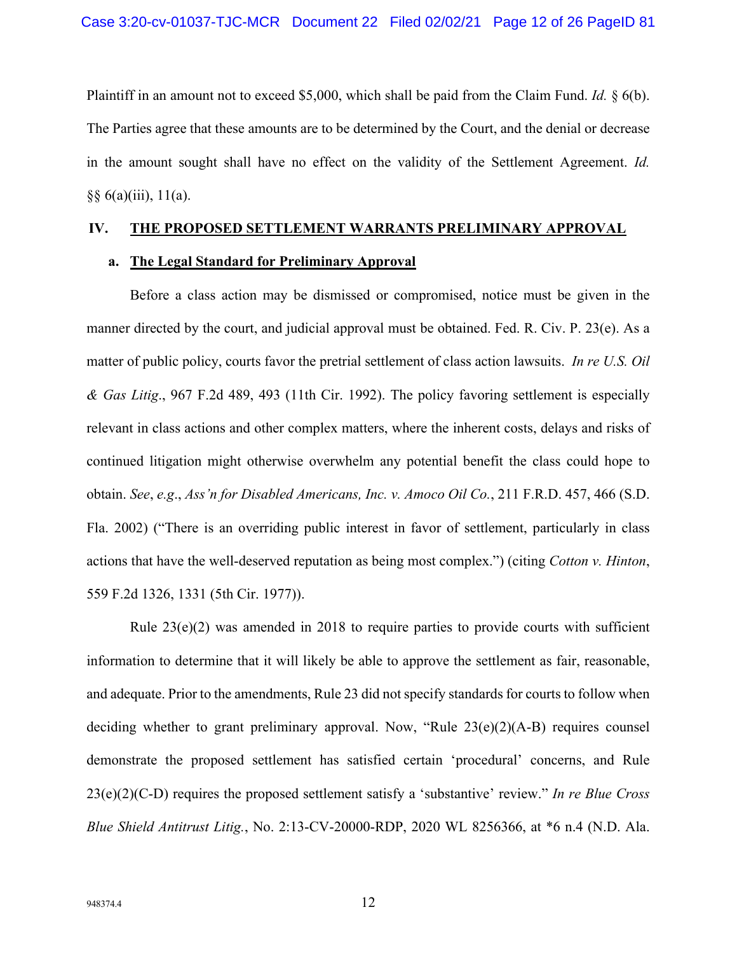Plaintiff in an amount not to exceed \$5,000, which shall be paid from the Claim Fund. *Id.* § 6(b). The Parties agree that these amounts are to be determined by the Court, and the denial or decrease in the amount sought shall have no effect on the validity of the Settlement Agreement. *Id.*  $§§ 6(a)(iii), 11(a).$ 

## **IV. THE PROPOSED SETTLEMENT WARRANTS PRELIMINARY APPROVAL**

#### **a. The Legal Standard for Preliminary Approval**

Before a class action may be dismissed or compromised, notice must be given in the manner directed by the court, and judicial approval must be obtained. Fed. R. Civ. P. 23(e). As a matter of public policy, courts favor the pretrial settlement of class action lawsuits. *In re U.S. Oil & Gas Litig*., 967 F.2d 489, 493 (11th Cir. 1992). The policy favoring settlement is especially relevant in class actions and other complex matters, where the inherent costs, delays and risks of continued litigation might otherwise overwhelm any potential benefit the class could hope to obtain. *See*, *e.g*., *Ass'n for Disabled Americans, Inc. v. Amoco Oil Co.*, 211 F.R.D. 457, 466 (S.D. Fla. 2002) ("There is an overriding public interest in favor of settlement, particularly in class actions that have the well-deserved reputation as being most complex.") (citing *Cotton v. Hinton*, 559 F.2d 1326, 1331 (5th Cir. 1977)).

Rule  $23(e)(2)$  was amended in 2018 to require parties to provide courts with sufficient information to determine that it will likely be able to approve the settlement as fair, reasonable, and adequate. Prior to the amendments, Rule 23 did not specify standards for courts to follow when deciding whether to grant preliminary approval. Now, "Rule 23(e)(2)(A-B) requires counsel demonstrate the proposed settlement has satisfied certain 'procedural' concerns, and Rule 23(e)(2)(C-D) requires the proposed settlement satisfy a 'substantive' review." *In re Blue Cross Blue Shield Antitrust Litig.*, No. 2:13-CV-20000-RDP, 2020 WL 8256366, at \*6 n.4 (N.D. Ala.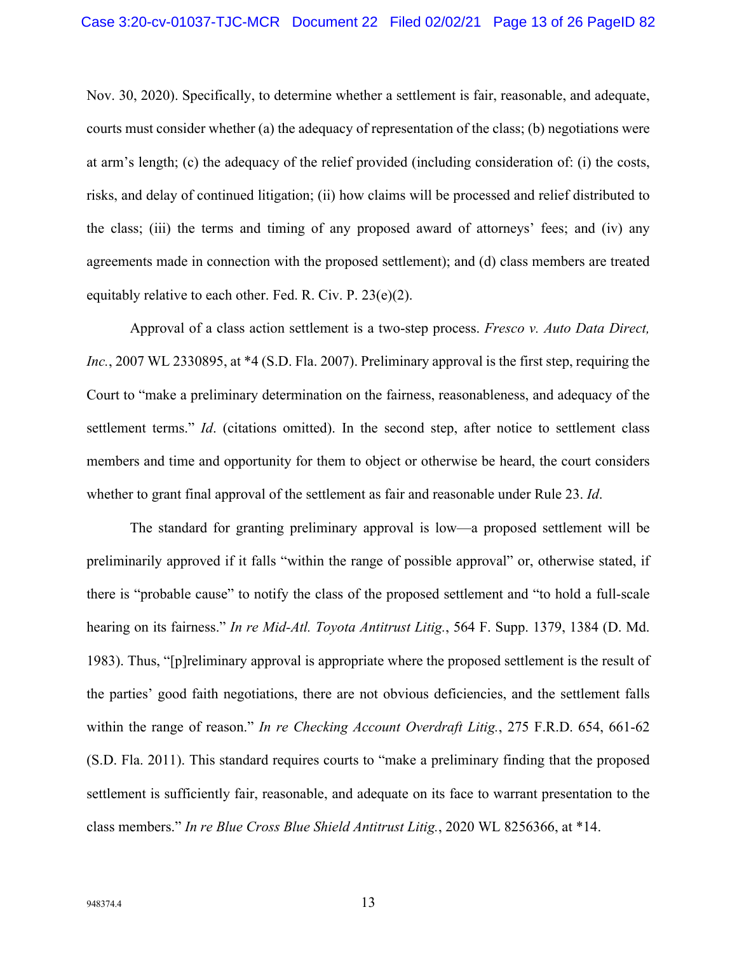Nov. 30, 2020). Specifically, to determine whether a settlement is fair, reasonable, and adequate, courts must consider whether (a) the adequacy of representation of the class; (b) negotiations were at arm's length; (c) the adequacy of the relief provided (including consideration of: (i) the costs, risks, and delay of continued litigation; (ii) how claims will be processed and relief distributed to the class; (iii) the terms and timing of any proposed award of attorneys' fees; and (iv) any agreements made in connection with the proposed settlement); and (d) class members are treated equitably relative to each other. Fed. R. Civ. P. 23(e)(2).

Approval of a class action settlement is a two-step process. *Fresco v. Auto Data Direct, Inc.*, 2007 WL 2330895, at \*4 (S.D. Fla. 2007). Preliminary approval is the first step, requiring the Court to "make a preliminary determination on the fairness, reasonableness, and adequacy of the settlement terms." *Id*. (citations omitted). In the second step, after notice to settlement class members and time and opportunity for them to object or otherwise be heard, the court considers whether to grant final approval of the settlement as fair and reasonable under Rule 23. *Id*.

The standard for granting preliminary approval is low—a proposed settlement will be preliminarily approved if it falls "within the range of possible approval" or, otherwise stated, if there is "probable cause" to notify the class of the proposed settlement and "to hold a full-scale hearing on its fairness." *In re Mid-Atl. Toyota Antitrust Litig.*, 564 F. Supp. 1379, 1384 (D. Md. 1983). Thus, "[p]reliminary approval is appropriate where the proposed settlement is the result of the parties' good faith negotiations, there are not obvious deficiencies, and the settlement falls within the range of reason." *In re Checking Account Overdraft Litig.*, 275 F.R.D. 654, 661-62 (S.D. Fla. 2011). This standard requires courts to "make a preliminary finding that the proposed settlement is sufficiently fair, reasonable, and adequate on its face to warrant presentation to the class members." *In re Blue Cross Blue Shield Antitrust Litig.*, 2020 WL 8256366, at \*14.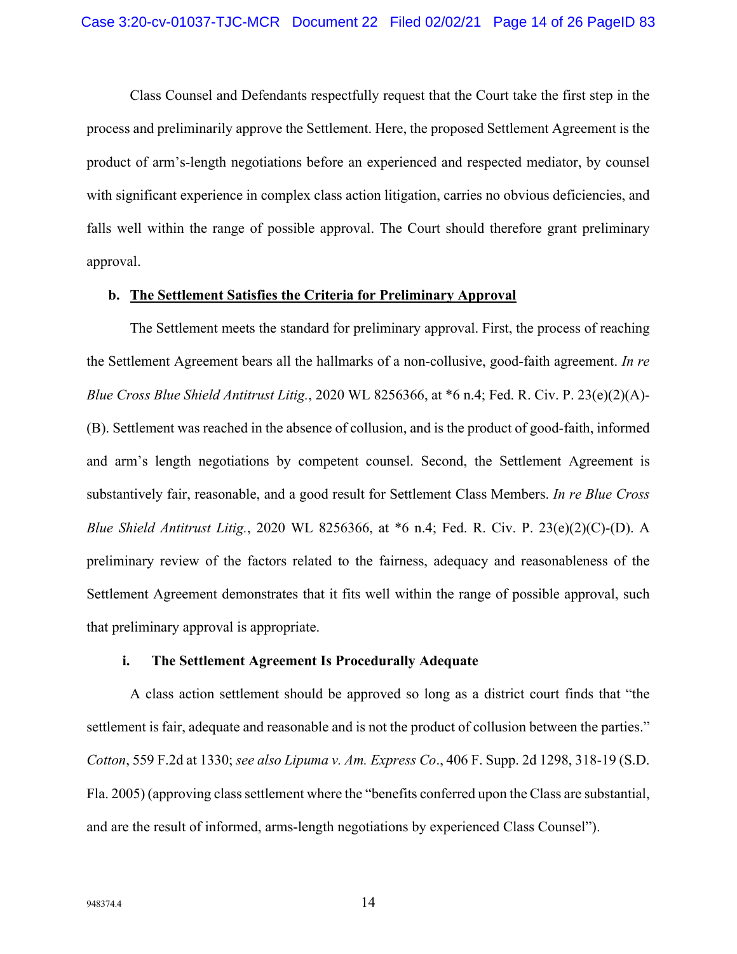Class Counsel and Defendants respectfully request that the Court take the first step in the process and preliminarily approve the Settlement. Here, the proposed Settlement Agreement is the product of arm's-length negotiations before an experienced and respected mediator, by counsel with significant experience in complex class action litigation, carries no obvious deficiencies, and falls well within the range of possible approval. The Court should therefore grant preliminary approval.

#### **b. The Settlement Satisfies the Criteria for Preliminary Approval**

The Settlement meets the standard for preliminary approval. First, the process of reaching the Settlement Agreement bears all the hallmarks of a non-collusive, good-faith agreement. *In re Blue Cross Blue Shield Antitrust Litig.*, 2020 WL 8256366, at \*6 n.4; Fed. R. Civ. P. 23(e)(2)(A)- (B). Settlement was reached in the absence of collusion, and is the product of good-faith, informed and arm's length negotiations by competent counsel. Second, the Settlement Agreement is substantively fair, reasonable, and a good result for Settlement Class Members. *In re Blue Cross Blue Shield Antitrust Litig.*, 2020 WL 8256366, at \*6 n.4; Fed. R. Civ. P. 23(e)(2)(C)-(D). A preliminary review of the factors related to the fairness, adequacy and reasonableness of the Settlement Agreement demonstrates that it fits well within the range of possible approval, such that preliminary approval is appropriate.

#### **i. The Settlement Agreement Is Procedurally Adequate**

A class action settlement should be approved so long as a district court finds that "the settlement is fair, adequate and reasonable and is not the product of collusion between the parties." *Cotton*, 559 F.2d at 1330; *see also Lipuma v. Am. Express Co*., 406 F. Supp. 2d 1298, 318-19 (S.D. Fla. 2005) (approving class settlement where the "benefits conferred upon the Class are substantial, and are the result of informed, arms-length negotiations by experienced Class Counsel").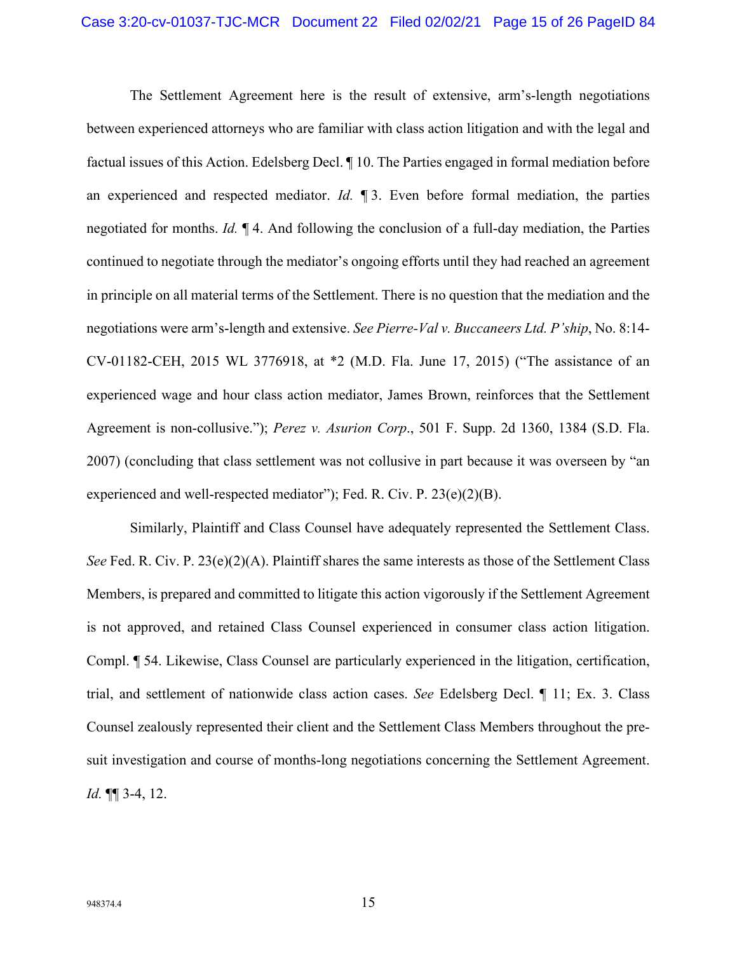The Settlement Agreement here is the result of extensive, arm's-length negotiations between experienced attorneys who are familiar with class action litigation and with the legal and factual issues of this Action. Edelsberg Decl. ¶ 10. The Parties engaged in formal mediation before an experienced and respected mediator. *Id.* ¶ 3. Even before formal mediation, the parties negotiated for months. *Id.* ¶ 4. And following the conclusion of a full-day mediation, the Parties continued to negotiate through the mediator's ongoing efforts until they had reached an agreement in principle on all material terms of the Settlement. There is no question that the mediation and the negotiations were arm's-length and extensive. *See Pierre-Val v. Buccaneers Ltd. P'ship*, No. 8:14- CV-01182-CEH, 2015 WL 3776918, at \*2 (M.D. Fla. June 17, 2015) ("The assistance of an experienced wage and hour class action mediator, James Brown, reinforces that the Settlement Agreement is non-collusive."); *Perez v. Asurion Corp*., 501 F. Supp. 2d 1360, 1384 (S.D. Fla. 2007) (concluding that class settlement was not collusive in part because it was overseen by "an experienced and well-respected mediator"); Fed. R. Civ. P.  $23(e)(2)(B)$ .

Similarly, Plaintiff and Class Counsel have adequately represented the Settlement Class. *See* Fed. R. Civ. P. 23(e)(2)(A). Plaintiff shares the same interests as those of the Settlement Class Members, is prepared and committed to litigate this action vigorously if the Settlement Agreement is not approved, and retained Class Counsel experienced in consumer class action litigation. Compl. ¶ 54. Likewise, Class Counsel are particularly experienced in the litigation, certification, trial, and settlement of nationwide class action cases. *See* Edelsberg Decl. ¶ 11; Ex. 3. Class Counsel zealously represented their client and the Settlement Class Members throughout the presuit investigation and course of months-long negotiations concerning the Settlement Agreement. *Id.* ¶¶ 3-4, 12.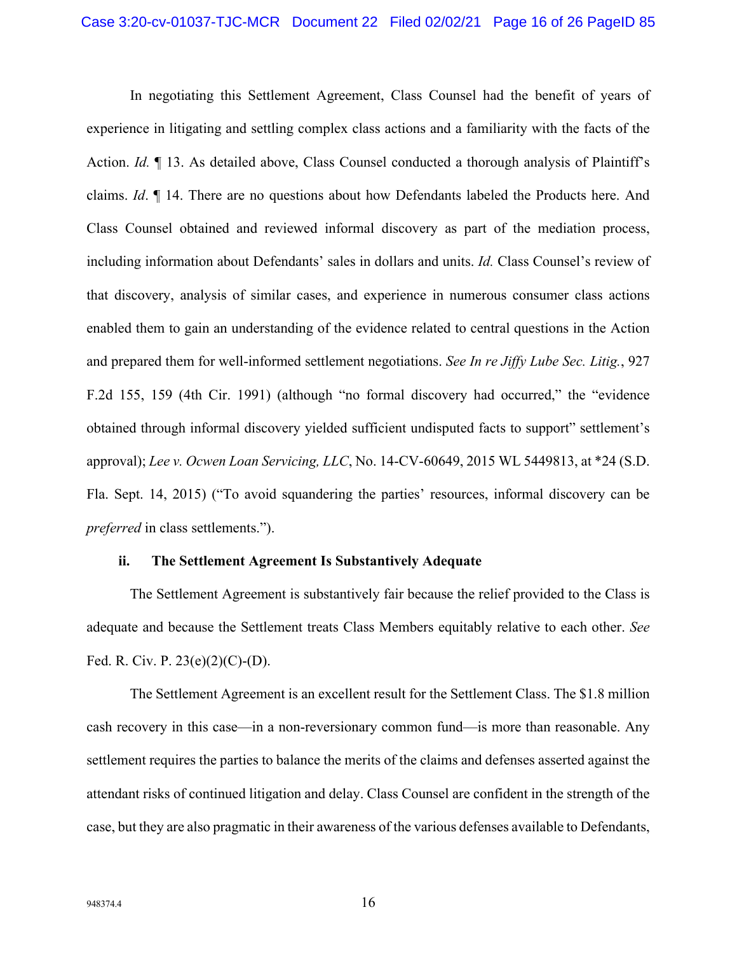In negotiating this Settlement Agreement, Class Counsel had the benefit of years of experience in litigating and settling complex class actions and a familiarity with the facts of the Action. *Id.*  $\parallel$  13. As detailed above, Class Counsel conducted a thorough analysis of Plaintiff's claims. *Id*. ¶ 14. There are no questions about how Defendants labeled the Products here. And Class Counsel obtained and reviewed informal discovery as part of the mediation process, including information about Defendants' sales in dollars and units. *Id.* Class Counsel's review of that discovery, analysis of similar cases, and experience in numerous consumer class actions enabled them to gain an understanding of the evidence related to central questions in the Action and prepared them for well-informed settlement negotiations. *See In re Jiffy Lube Sec. Litig.*, 927 F.2d 155, 159 (4th Cir. 1991) (although "no formal discovery had occurred," the "evidence obtained through informal discovery yielded sufficient undisputed facts to support" settlement's approval); *Lee v. Ocwen Loan Servicing, LLC*, No. 14-CV-60649, 2015 WL 5449813, at \*24 (S.D. Fla. Sept. 14, 2015) ("To avoid squandering the parties' resources, informal discovery can be *preferred* in class settlements.").

#### **ii. The Settlement Agreement Is Substantively Adequate**

The Settlement Agreement is substantively fair because the relief provided to the Class is adequate and because the Settlement treats Class Members equitably relative to each other. *See* Fed. R. Civ. P. 23(e)(2)(C)-(D).

The Settlement Agreement is an excellent result for the Settlement Class. The \$1.8 million cash recovery in this case—in a non-reversionary common fund—is more than reasonable. Any settlement requires the parties to balance the merits of the claims and defenses asserted against the attendant risks of continued litigation and delay. Class Counsel are confident in the strength of the case, but they are also pragmatic in their awareness of the various defenses available to Defendants,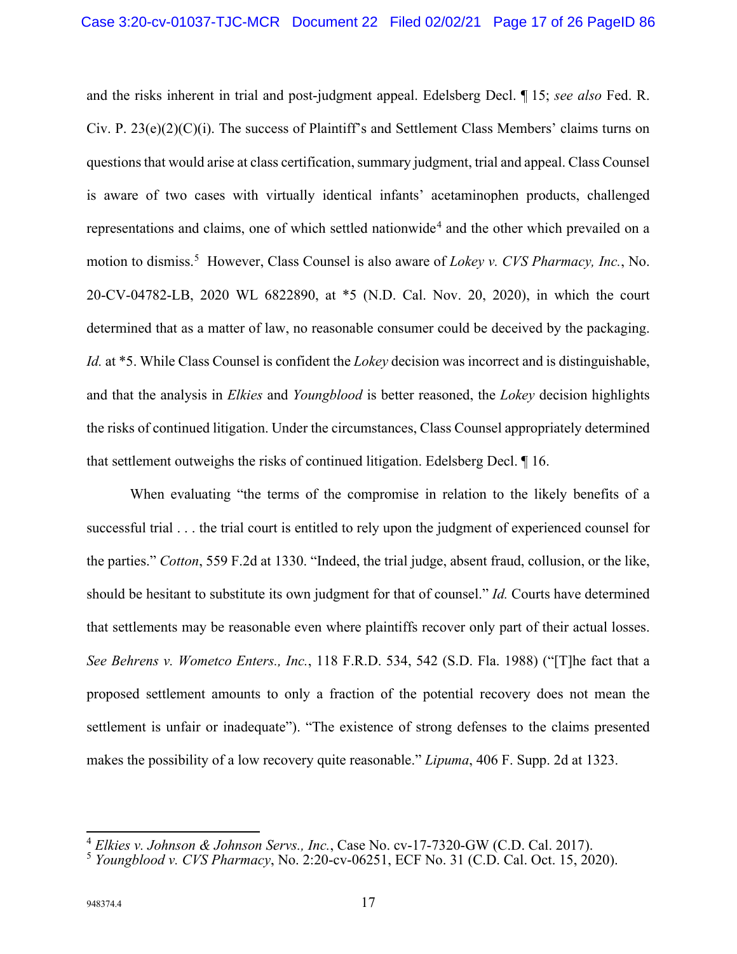and the risks inherent in trial and post-judgment appeal. Edelsberg Decl. ¶ 15; *see also* Fed. R. Civ. P. 23(e)(2)(C)(i). The success of Plaintiff's and Settlement Class Members' claims turns on questions that would arise at class certification, summary judgment, trial and appeal. Class Counsel is aware of two cases with virtually identical infants' acetaminophen products, challenged representations and claims, one of which settled nationwide<sup>[4](#page-16-0)</sup> and the other which prevailed on a motion to dismiss. [5](#page-16-1) However, Class Counsel is also aware of *Lokey v. CVS Pharmacy, Inc.*, No. 20-CV-04782-LB, 2020 WL 6822890, at \*5 (N.D. Cal. Nov. 20, 2020), in which the court determined that as a matter of law, no reasonable consumer could be deceived by the packaging. *Id.* at \*5. While Class Counsel is confident the *Lokey* decision was incorrect and is distinguishable, and that the analysis in *Elkies* and *Youngblood* is better reasoned, the *Lokey* decision highlights the risks of continued litigation. Under the circumstances, Class Counsel appropriately determined that settlement outweighs the risks of continued litigation. Edelsberg Decl. ¶ 16.

When evaluating "the terms of the compromise in relation to the likely benefits of a successful trial . . . the trial court is entitled to rely upon the judgment of experienced counsel for the parties." *Cotton*, 559 F.2d at 1330. "Indeed, the trial judge, absent fraud, collusion, or the like, should be hesitant to substitute its own judgment for that of counsel." *Id.* Courts have determined that settlements may be reasonable even where plaintiffs recover only part of their actual losses. *See Behrens v. Wometco Enters., Inc.*, 118 F.R.D. 534, 542 (S.D. Fla. 1988) ("[T]he fact that a proposed settlement amounts to only a fraction of the potential recovery does not mean the settlement is unfair or inadequate"). "The existence of strong defenses to the claims presented makes the possibility of a low recovery quite reasonable." *Lipuma*, 406 F. Supp. 2d at 1323.

<span id="page-16-1"></span><span id="page-16-0"></span><sup>4</sup> *Elkies v. Johnson & Johnson Servs., Inc.*, Case No. cv-17-7320-GW (C.D. Cal. 2017). 5 *Youngblood v. CVS Pharmacy*, No. 2:20-cv-06251, ECF No. 31 (C.D. Cal. Oct. 15, 2020).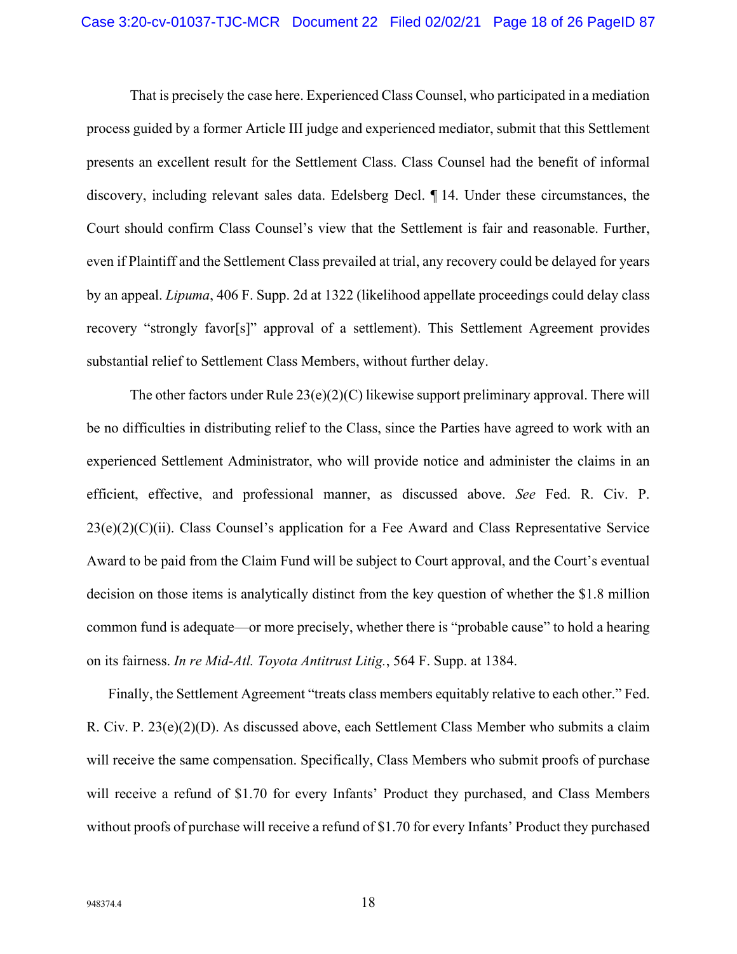That is precisely the case here. Experienced Class Counsel, who participated in a mediation process guided by a former Article III judge and experienced mediator, submit that this Settlement presents an excellent result for the Settlement Class. Class Counsel had the benefit of informal discovery, including relevant sales data. Edelsberg Decl. ¶ 14. Under these circumstances, the Court should confirm Class Counsel's view that the Settlement is fair and reasonable. Further, even if Plaintiff and the Settlement Class prevailed at trial, any recovery could be delayed for years by an appeal. *Lipuma*, 406 F. Supp. 2d at 1322 (likelihood appellate proceedings could delay class recovery "strongly favor[s]" approval of a settlement). This Settlement Agreement provides substantial relief to Settlement Class Members, without further delay.

The other factors under Rule  $23(e)(2)(C)$  likewise support preliminary approval. There will be no difficulties in distributing relief to the Class, since the Parties have agreed to work with an experienced Settlement Administrator, who will provide notice and administer the claims in an efficient, effective, and professional manner, as discussed above. *See* Fed. R. Civ. P.  $23(e)(2)(C)(ii)$ . Class Counsel's application for a Fee Award and Class Representative Service Award to be paid from the Claim Fund will be subject to Court approval, and the Court's eventual decision on those items is analytically distinct from the key question of whether the \$1.8 million common fund is adequate—or more precisely, whether there is "probable cause" to hold a hearing on its fairness. *In re Mid-Atl. Toyota Antitrust Litig.*, 564 F. Supp. at 1384.

Finally, the Settlement Agreement "treats class members equitably relative to each other." Fed. R. Civ. P. 23(e)(2)(D). As discussed above, each Settlement Class Member who submits a claim will receive the same compensation. Specifically, Class Members who submit proofs of purchase will receive a refund of \$1.70 for every Infants' Product they purchased, and Class Members without proofs of purchase will receive a refund of \$1.70 for every Infants' Product they purchased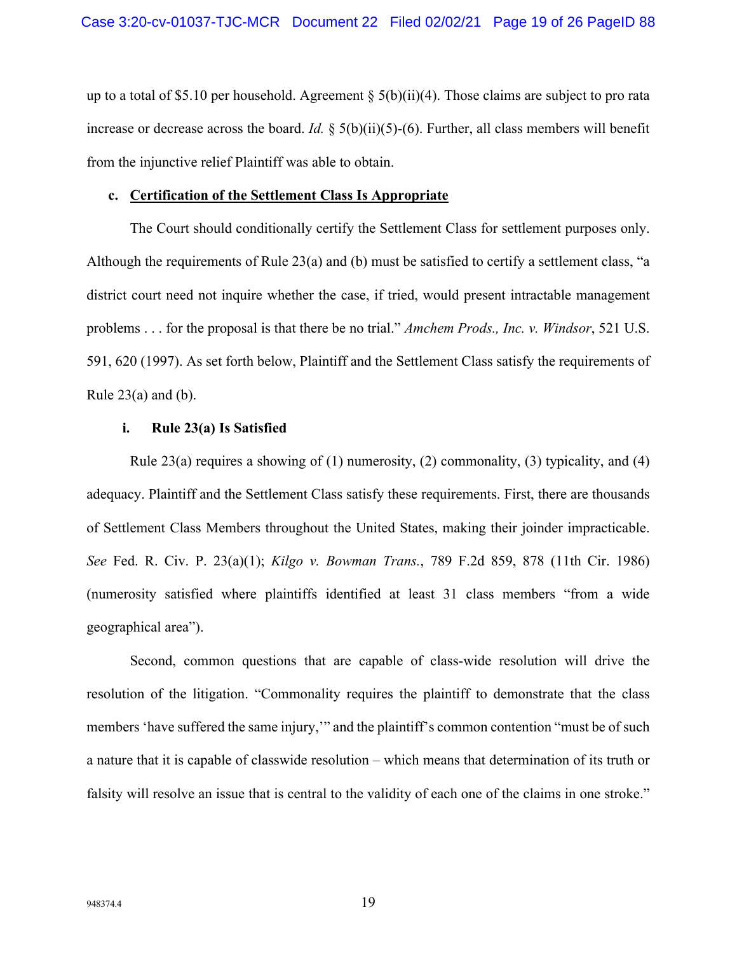up to a total of \$5.10 per household. Agreement  $\S$  5(b)(ii)(4). Those claims are subject to pro rata increase or decrease across the board. *Id.*  $\S$  5(b)(ii)(5)-(6). Further, all class members will benefit from the injunctive relief Plaintiff was able to obtain.

#### **c. Certification of the Settlement Class Is Appropriate**

The Court should conditionally certify the Settlement Class for settlement purposes only. Although the requirements of Rule 23(a) and (b) must be satisfied to certify a settlement class, "a district court need not inquire whether the case, if tried, would present intractable management problems . . . for the proposal is that there be no trial." *Amchem Prods., Inc. v. Windsor*, 521 U.S. 591, 620 (1997). As set forth below, Plaintiff and the Settlement Class satisfy the requirements of Rule  $23(a)$  and  $(b)$ .

## **i. Rule 23(a) Is Satisfied**

Rule 23(a) requires a showing of (1) numerosity, (2) commonality, (3) typicality, and (4) adequacy. Plaintiff and the Settlement Class satisfy these requirements. First, there are thousands of Settlement Class Members throughout the United States, making their joinder impracticable. *See* Fed. R. Civ. P. 23(a)(1); *Kilgo v. Bowman Trans.*, 789 F.2d 859, 878 (11th Cir. 1986) (numerosity satisfied where plaintiffs identified at least 31 class members "from a wide geographical area").

Second, common questions that are capable of class-wide resolution will drive the resolution of the litigation. "Commonality requires the plaintiff to demonstrate that the class members 'have suffered the same injury,'" and the plaintiff's common contention "must be of such a nature that it is capable of classwide resolution – which means that determination of its truth or falsity will resolve an issue that is central to the validity of each one of the claims in one stroke."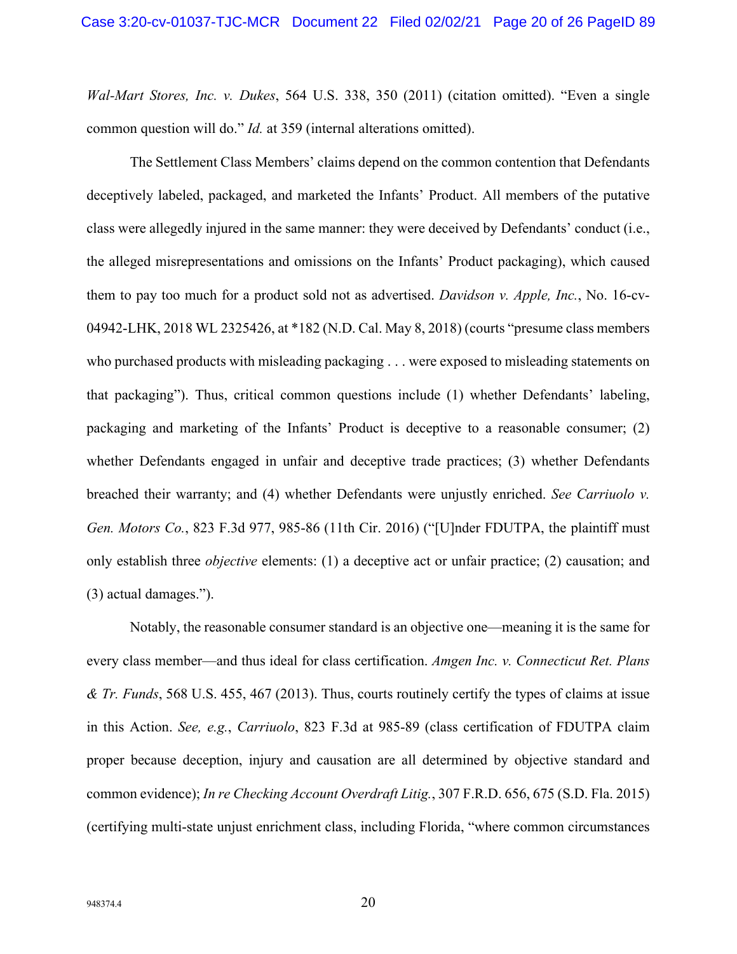*Wal-Mart Stores, Inc. v. Dukes*, 564 U.S. 338, 350 (2011) (citation omitted). "Even a single common question will do." *Id.* at 359 (internal alterations omitted).

The Settlement Class Members' claims depend on the common contention that Defendants deceptively labeled, packaged, and marketed the Infants' Product. All members of the putative class were allegedly injured in the same manner: they were deceived by Defendants' conduct (i.e., the alleged misrepresentations and omissions on the Infants' Product packaging), which caused them to pay too much for a product sold not as advertised. *Davidson v. Apple, Inc.*, No. 16-cv-04942-LHK, 2018 WL 2325426, at \*182 (N.D. Cal. May 8, 2018) (courts "presume class members who purchased products with misleading packaging . . . were exposed to misleading statements on that packaging"). Thus, critical common questions include (1) whether Defendants' labeling, packaging and marketing of the Infants' Product is deceptive to a reasonable consumer; (2) whether Defendants engaged in unfair and deceptive trade practices; (3) whether Defendants breached their warranty; and (4) whether Defendants were unjustly enriched. *See Carriuolo v. Gen. Motors Co.*, 823 F.3d 977, 985-86 (11th Cir. 2016) ("[U]nder FDUTPA, the plaintiff must only establish three *objective* elements: (1) a deceptive act or unfair practice; (2) causation; and (3) actual damages.").

Notably, the reasonable consumer standard is an objective one—meaning it is the same for every class member—and thus ideal for class certification. *Amgen Inc. v. Connecticut Ret. Plans & Tr. Funds*, 568 U.S. 455, 467 (2013). Thus, courts routinely certify the types of claims at issue in this Action. *See, e.g.*, *Carriuolo*, 823 F.3d at 985-89 (class certification of FDUTPA claim proper because deception, injury and causation are all determined by objective standard and common evidence); *In re Checking Account Overdraft Litig.*, 307 F.R.D. 656, 675 (S.D. Fla. 2015) (certifying multi-state unjust enrichment class, including Florida, "where common circumstances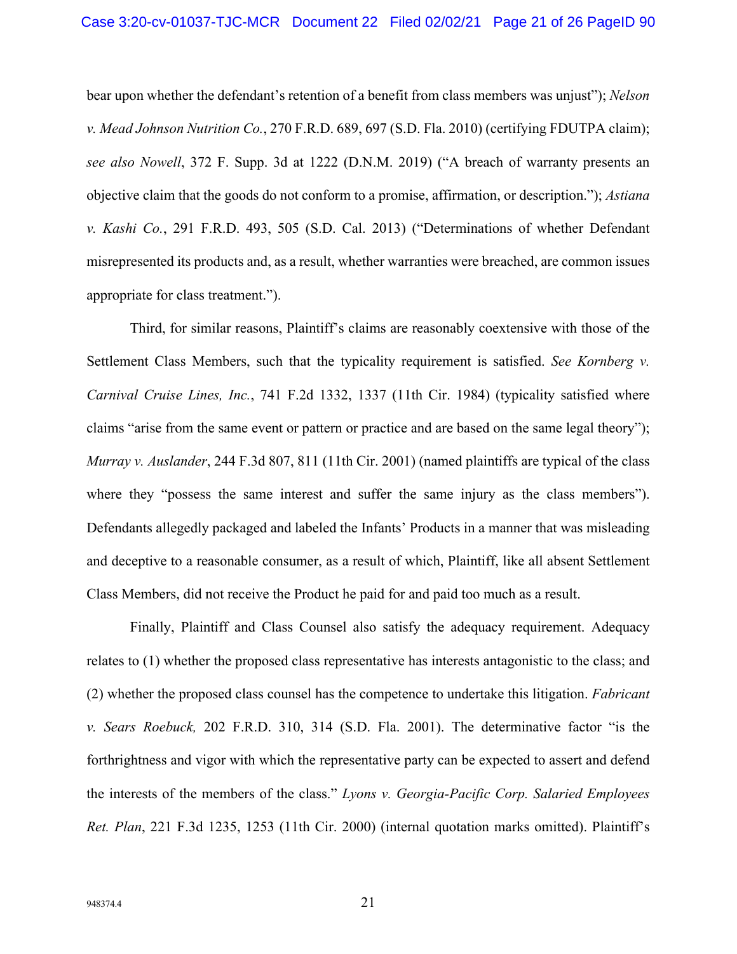bear upon whether the defendant's retention of a benefit from class members was unjust"); *Nelson v. Mead Johnson Nutrition Co.*, 270 F.R.D. 689, 697 (S.D. Fla. 2010) (certifying FDUTPA claim); *see also Nowell*, 372 F. Supp. 3d at 1222 (D.N.M. 2019) ("A breach of warranty presents an objective claim that the goods do not conform to a promise, affirmation, or description."); *Astiana v. Kashi Co.*, 291 F.R.D. 493, 505 (S.D. Cal. 2013) ("Determinations of whether Defendant misrepresented its products and, as a result, whether warranties were breached, are common issues appropriate for class treatment.").

Third, for similar reasons, Plaintiff's claims are reasonably coextensive with those of the Settlement Class Members, such that the typicality requirement is satisfied. *See Kornberg v. Carnival Cruise Lines, Inc.*, 741 F.2d 1332, 1337 (11th Cir. 1984) (typicality satisfied where claims "arise from the same event or pattern or practice and are based on the same legal theory"); *Murray v. Auslander*, 244 F.3d 807, 811 (11th Cir. 2001) (named plaintiffs are typical of the class where they "possess the same interest and suffer the same injury as the class members"). Defendants allegedly packaged and labeled the Infants' Products in a manner that was misleading and deceptive to a reasonable consumer, as a result of which, Plaintiff, like all absent Settlement Class Members, did not receive the Product he paid for and paid too much as a result.

Finally, Plaintiff and Class Counsel also satisfy the adequacy requirement. Adequacy relates to (1) whether the proposed class representative has interests antagonistic to the class; and (2) whether the proposed class counsel has the competence to undertake this litigation. *Fabricant v. Sears Roebuck,* 202 F.R.D. 310, 314 (S.D. Fla. 2001). The determinative factor "is the forthrightness and vigor with which the representative party can be expected to assert and defend the interests of the members of the class." *Lyons v. Georgia-Pacific Corp. Salaried Employees Ret. Plan*, 221 F.3d 1235, 1253 (11th Cir. 2000) (internal quotation marks omitted). Plaintiff's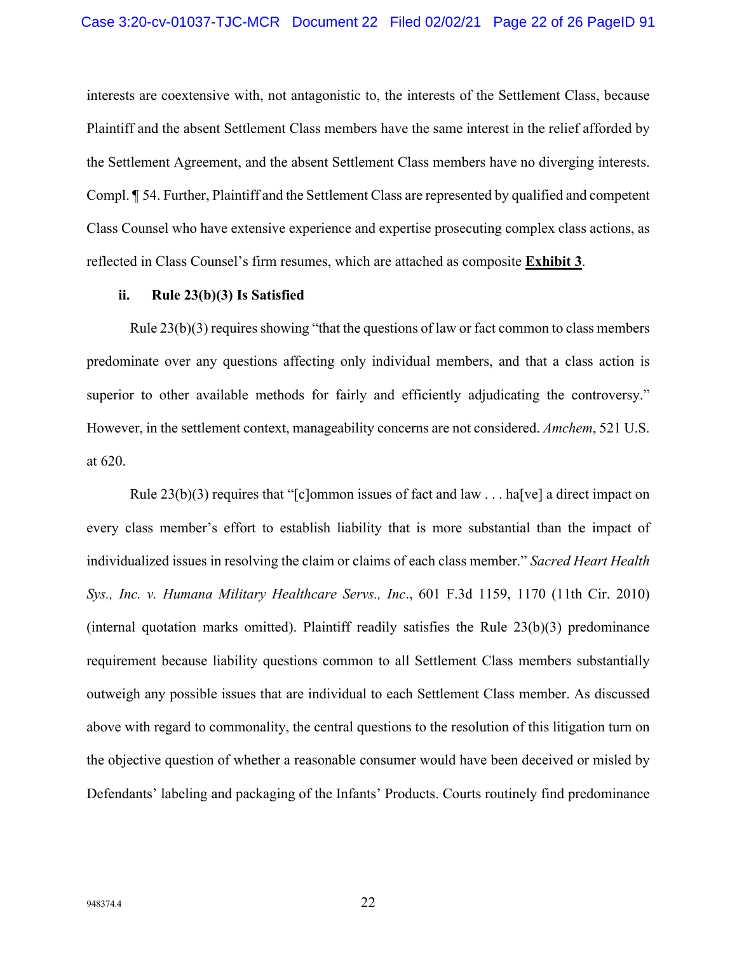interests are coextensive with, not antagonistic to, the interests of the Settlement Class, because Plaintiff and the absent Settlement Class members have the same interest in the relief afforded by the Settlement Agreement, and the absent Settlement Class members have no diverging interests. Compl. ¶ 54. Further, Plaintiff and the Settlement Class are represented by qualified and competent Class Counsel who have extensive experience and expertise prosecuting complex class actions, as reflected in Class Counsel's firm resumes, which are attached as composite **Exhibit 3**.

#### **ii. Rule 23(b)(3) Is Satisfied**

Rule  $23(b)(3)$  requires showing "that the questions of law or fact common to class members predominate over any questions affecting only individual members, and that a class action is superior to other available methods for fairly and efficiently adjudicating the controversy." However, in the settlement context, manageability concerns are not considered. *Amchem*, 521 U.S. at 620.

Rule  $23(b)(3)$  requires that "[c]ommon issues of fact and law . . . has [ve] a direct impact on every class member's effort to establish liability that is more substantial than the impact of individualized issues in resolving the claim or claims of each class member." *Sacred Heart Health Sys., Inc. v. Humana Military Healthcare Servs., Inc*., 601 F.3d 1159, 1170 (11th Cir. 2010) (internal quotation marks omitted). Plaintiff readily satisfies the Rule 23(b)(3) predominance requirement because liability questions common to all Settlement Class members substantially outweigh any possible issues that are individual to each Settlement Class member. As discussed above with regard to commonality, the central questions to the resolution of this litigation turn on the objective question of whether a reasonable consumer would have been deceived or misled by Defendants' labeling and packaging of the Infants' Products. Courts routinely find predominance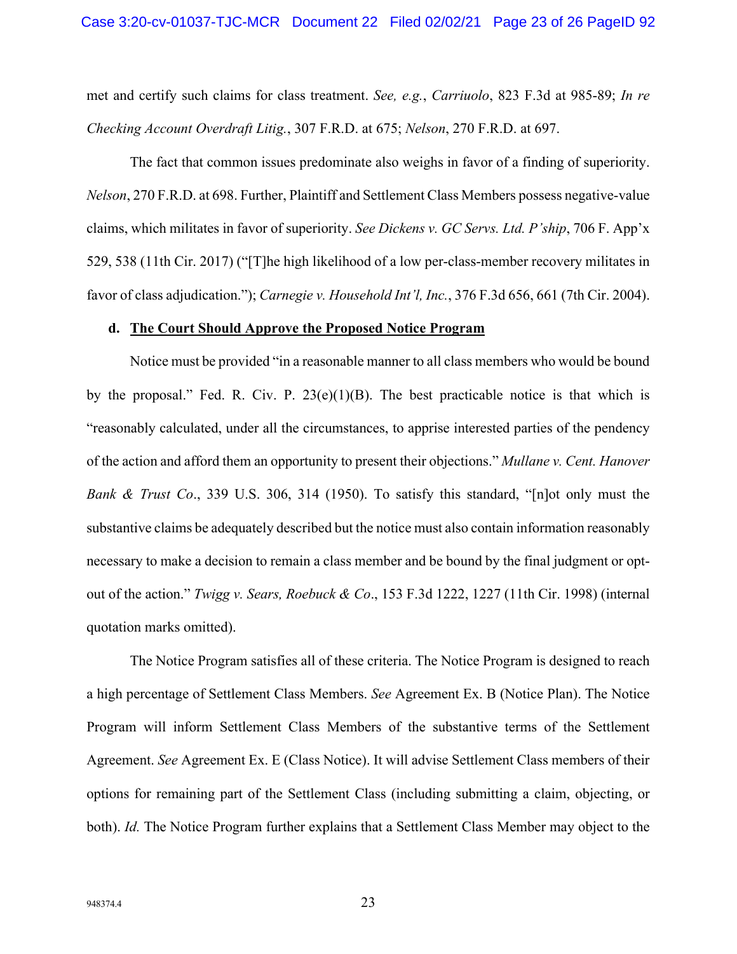met and certify such claims for class treatment. *See, e.g.*, *Carriuolo*, 823 F.3d at 985-89; *In re Checking Account Overdraft Litig.*, 307 F.R.D. at 675; *Nelson*, 270 F.R.D. at 697.

The fact that common issues predominate also weighs in favor of a finding of superiority. *Nelson*, 270 F.R.D. at 698. Further, Plaintiff and Settlement Class Members possess negative-value claims, which militates in favor of superiority. *See Dickens v. GC Servs. Ltd. P'ship*, 706 F. App'x 529, 538 (11th Cir. 2017) ("[T]he high likelihood of a low per-class-member recovery militates in favor of class adjudication."); *Carnegie v. Household Int'l, Inc.*, 376 F.3d 656, 661 (7th Cir. 2004).

#### **d. The Court Should Approve the Proposed Notice Program**

Notice must be provided "in a reasonable manner to all class members who would be bound by the proposal." Fed. R. Civ. P.  $23(e)(1)(B)$ . The best practicable notice is that which is "reasonably calculated, under all the circumstances, to apprise interested parties of the pendency of the action and afford them an opportunity to present their objections." *Mullane v. Cent. Hanover Bank & Trust Co*., 339 U.S. 306, 314 (1950). To satisfy this standard, "[n]ot only must the substantive claims be adequately described but the notice must also contain information reasonably necessary to make a decision to remain a class member and be bound by the final judgment or optout of the action." *Twigg v. Sears, Roebuck & Co*., 153 F.3d 1222, 1227 (11th Cir. 1998) (internal quotation marks omitted).

The Notice Program satisfies all of these criteria. The Notice Program is designed to reach a high percentage of Settlement Class Members. *See* Agreement Ex. B (Notice Plan). The Notice Program will inform Settlement Class Members of the substantive terms of the Settlement Agreement. *See* Agreement Ex. E (Class Notice). It will advise Settlement Class members of their options for remaining part of the Settlement Class (including submitting a claim, objecting, or both). *Id.* The Notice Program further explains that a Settlement Class Member may object to the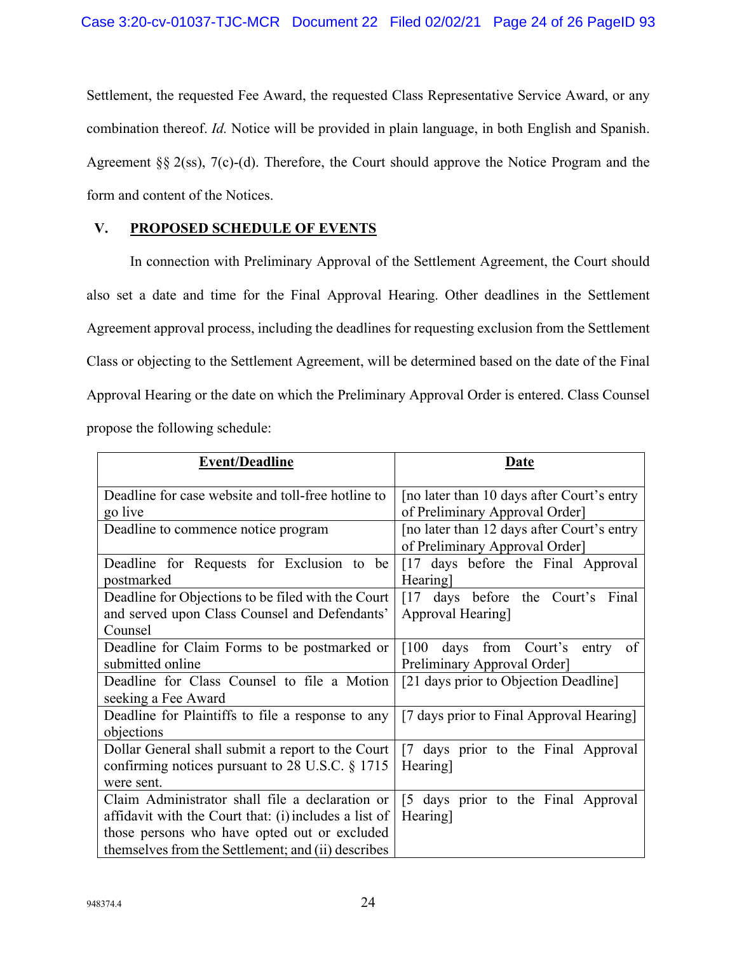Settlement, the requested Fee Award, the requested Class Representative Service Award, or any combination thereof. *Id.* Notice will be provided in plain language, in both English and Spanish. Agreement §§ 2(ss), 7(c)-(d). Therefore, the Court should approve the Notice Program and the form and content of the Notices.

# **V. PROPOSED SCHEDULE OF EVENTS**

In connection with Preliminary Approval of the Settlement Agreement, the Court should also set a date and time for the Final Approval Hearing. Other deadlines in the Settlement Agreement approval process, including the deadlines for requesting exclusion from the Settlement Class or objecting to the Settlement Agreement, will be determined based on the date of the Final Approval Hearing or the date on which the Preliminary Approval Order is entered. Class Counsel propose the following schedule:

| <b>Event/Deadline</b>                                                                                                                                                                                          | Date                                                                                   |
|----------------------------------------------------------------------------------------------------------------------------------------------------------------------------------------------------------------|----------------------------------------------------------------------------------------|
| Deadline for case website and toll-free hotline to<br>go live                                                                                                                                                  | [no later than 10 days after Court's entry<br>of Preliminary Approval Order]           |
| Deadline to commence notice program                                                                                                                                                                            | [no later than 12 days after Court's entry<br>of Preliminary Approval Order]           |
| Deadline for Requests for Exclusion to be<br>postmarked                                                                                                                                                        | [17 days before the Final Approval]<br>Hearing]                                        |
| Deadline for Objections to be filed with the Court<br>and served upon Class Counsel and Defendants'<br>Counsel                                                                                                 | days before the Court's Final<br>$\lceil 17 \rceil$<br>Approval Hearing]               |
| Deadline for Claim Forms to be postmarked or<br>submitted online                                                                                                                                               | from Court's<br>entry of<br>$\lceil 100 \rceil$<br>days<br>Preliminary Approval Order] |
| Deadline for Class Counsel to file a Motion<br>seeking a Fee Award                                                                                                                                             | [21 days prior to Objection Deadline]                                                  |
| Deadline for Plaintiffs to file a response to any<br>objections                                                                                                                                                | [7 days prior to Final Approval Hearing]                                               |
| Dollar General shall submit a report to the Court<br>confirming notices pursuant to 28 U.S.C. $\S 1715$<br>were sent.                                                                                          | [7 days prior to the Final Approval]<br>Hearing]                                       |
| Claim Administrator shall file a declaration or<br>affidavit with the Court that: (i) includes a list of<br>those persons who have opted out or excluded<br>themselves from the Settlement; and (ii) describes | [5 days prior to the Final Approval]<br>Hearing]                                       |